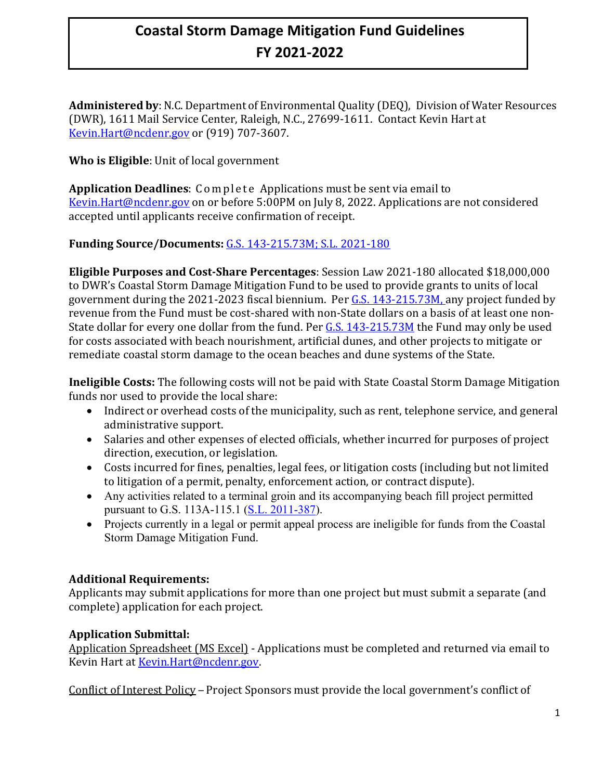Administered by: N.C. Department of Environmental Quality (DEQ), Division of Water Resources (DWR), 1611 Mail Service Center, Raleigh, N.C., 27699-1611. Contact Kevin Hart at [Kevin.Hart@ncdenr.gov](mailto:coley.cordeiro@ncdenr.gov) or (919) 707-3607.

## **Who is Eligible**: Unit of local government

**Application Deadlines**: Complete Applications must be sent via email to [Kevin.Hart@ncdenr.gov](mailto:Coley.Cordeiro@ncdenr.gov) on or before 5:00PM on July 8, 2022. Applications are not considered accepted until applicants receive confirmation of receipt.

## **Funding Source/Documents:** [G.S. 143-215.73M;](https://www.ncleg.net/enactedlegislation/statutes/html/byarticle/chapter_143/article_21.html) [S.L. 2021-180](https://www.ncleg.gov/Sessions/2021/Bills/Senate/PDF/S105v8.pdf)

**Eligible Purposes and Cost-Share Percentages**: Session Law 2021-180 allocated \$18,000,000 to DWR's Coastal Storm Damage Mitigation Fund to be used to provide grants to units of local government during the 2021-2023 fiscal biennium. Per [G.S. 143-215.73M,](https://www.ncleg.net/enactedlegislation/statutes/html/byarticle/chapter_143/article_21.html) any project funded by revenue from the Fund must be cost-shared with non-State dollars on a basis of at least one non-State dollar for every one dollar from the fund. Per [G.S. 143-215.73M](https://www.ncleg.net/enactedlegislation/statutes/html/byarticle/chapter_143/article_21.html) the Fund may only be used for costs associated with beach nourishment, artificial dunes, and other projects to mitigate or remediate coastal storm damage to the ocean beaches and dune systems of the State.

**Ineligible Costs:** The following costs will not be paid with State Coastal Storm Damage Mitigation funds nor used to provide the local share:

- Indirect or overhead costs of the municipality, such as rent, telephone service, and general administrative support.
- Salaries and other expenses of elected officials, whether incurred for purposes of project direction, execution, or legislation.
- Costs incurred for fines, penalties, legal fees, or litigation costs (including but not limited to litigation of a permit, penalty, enforcement action, or contract dispute).
- Any activities related to a terminal groin and its accompanying beach fill project permitted pursuant to G.S. 113A-115.1 [\(S.L. 2011-387\)](https://www.ncleg.gov/EnactedLegislation/SessionLaws/HTML/2011-2012/SL2011-387.html).
- Projects currently in a legal or permit appeal process are ineligible for funds from the Coastal Storm Damage Mitigation Fund.

#### **Additional Requirements:**

Applicants may submit applications for more than one project but must submit a separate (and complete) application for each project.

#### **Application Submittal:**

Application Spreadsheet (MS Excel) - Applications must be completed and returned via email to Kevin Hart at [Kevin.Hart@ncdenr.gov.](mailto:Kevin.Hart@ncdenr.gov)

Conflict of Interest Policy – Project Sponsors must provide the local government's conflict of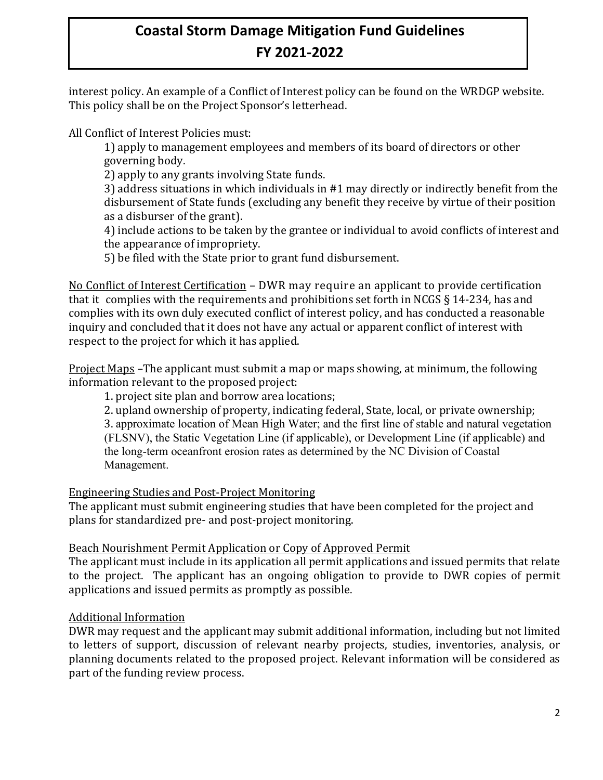interest policy. An example of a Conflict of Interest policy can be found on the WRDGP website. This policy shall be on the Project Sponsor's letterhead.

All Conflict of Interest Policies must:

1) apply to management employees and members of its board of directors or other governing body.

2) apply to any grants involving State funds.

3) address situations in which individuals in #1 may directly or indirectly benefit from the disbursement of State funds (excluding any benefit they receive by virtue of their position as a disburser of the grant).

4) include actions to be taken by the grantee or individual to avoid conflicts of interest and the appearance of impropriety.

5) be filed with the State prior to grant fund disbursement.

No Conflict of Interest Certification – DWR may require an applicant to provide certification that it complies with the requirements and prohibitions set forth in NCGS § 14-234, has and complies with its own duly executed conflict of interest policy, and has conducted a reasonable inquiry and concluded that it does not have any actual or apparent conflict of interest with respect to the project for which it has applied.

Project Maps –The applicant must submit a map or maps showing, at minimum, the following information relevant to the proposed project:

1. project site plan and borrow area locations;

2. upland ownership of property, indicating federal, State, local, or private ownership; 3. approximate location of Mean High Water; and the first line of stable and natural vegetation (FLSNV), the Static Vegetation Line (if applicable), or Development Line (if applicable) and the long-term oceanfront erosion rates as determined by the NC Division of Coastal Management.

# Engineering Studies and Post-Project Monitoring

The applicant must submit engineering studies that have been completed for the project and plans for standardized pre- and post-project monitoring.

# Beach Nourishment Permit Application or Copy of Approved Permit

The applicant must include in its application all permit applications and issued permits that relate to the project. The applicant has an ongoing obligation to provide to DWR copies of permit applications and issued permits as promptly as possible.

# Additional Information

DWR may request and the applicant may submit additional information, including but not limited to letters of support, discussion of relevant nearby projects, studies, inventories, analysis, or planning documents related to the proposed project. Relevant information will be considered as part of the funding review process.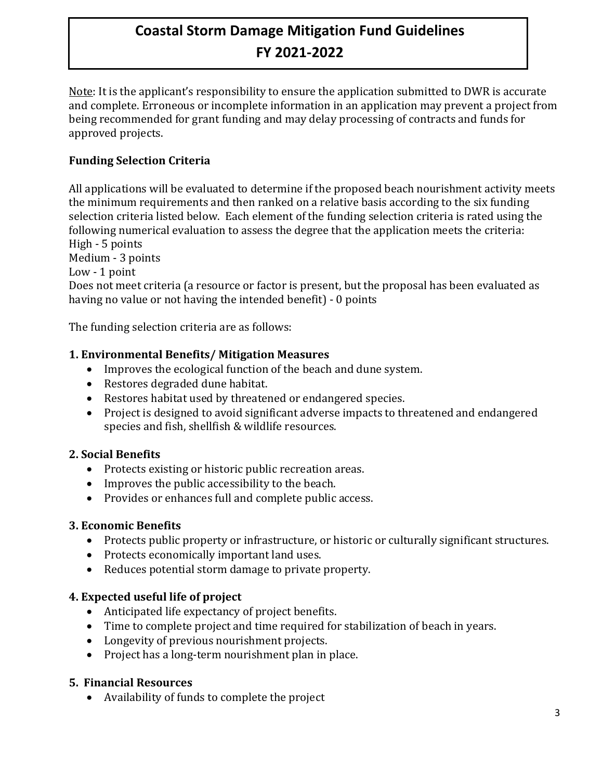Note: It is the applicant's responsibility to ensure the application submitted to DWR is accurate and complete. Erroneous or incomplete information in an application may prevent a project from being recommended for grant funding and may delay processing of contracts and funds for approved projects.

## **Funding Selection Criteria**

All applications will be evaluated to determine if the proposed beach nourishment activity meets the minimum requirements and then ranked on a relative basis according to the six funding selection criteria listed below. Each element of the funding selection criteria is rated using the following numerical evaluation to assess the degree that the application meets the criteria: High - 5 points

Medium - 3 points

Low - 1 point

Does not meet criteria (a resource or factor is present, but the proposal has been evaluated as having no value or not having the intended benefit) - 0 points

The funding selection criteria are as follows:

#### **1. Environmental Benefits/ Mitigation Measures**

- Improves the ecological function of the beach and dune system.
- Restores degraded dune habitat.
- Restores habitat used by threatened or endangered species.
- Project is designed to avoid significant adverse impacts to threatened and endangered species and fish, shellfish & wildlife resources.

## **2. Social Benefits**

- Protects existing or historic public recreation areas.
- Improves the public accessibility to the beach.
- Provides or enhances full and complete public access.

#### **3. Economic Benefits**

- Protects public property or infrastructure, or historic or culturally significant structures.
- Protects economically important land uses.
- Reduces potential storm damage to private property.

## **4. Expected useful life of project**

- Anticipated life expectancy of project benefits.
- Time to complete project and time required for stabilization of beach in years.
- Longevity of previous nourishment projects.
- Project has a long-term nourishment plan in place.

#### **5. Financial Resources**

• Availability of funds to complete the project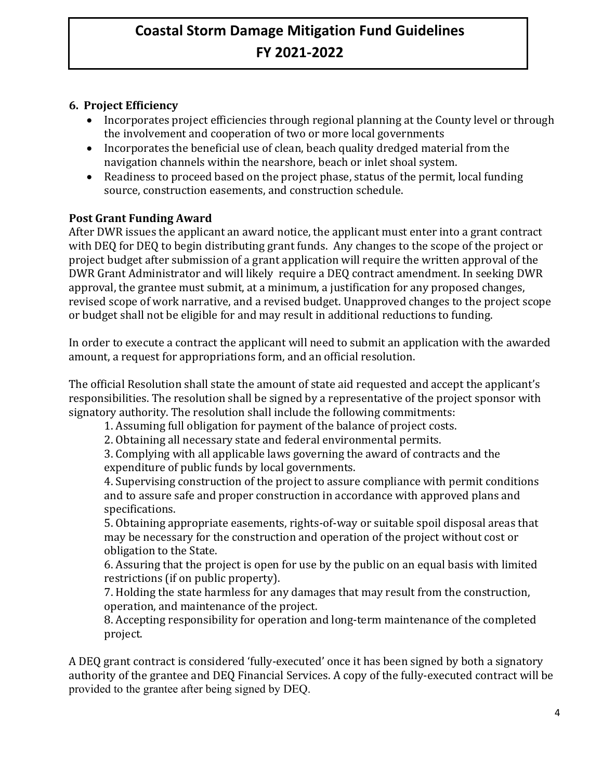## **6. Project Efficiency**

- Incorporates project efficiencies through regional planning at the County level or through the involvement and cooperation of two or more local governments
- Incorporates the beneficial use of clean, beach quality dredged material from the navigation channels within the nearshore, beach or inlet shoal system.
- Readiness to proceed based on the project phase, status of the permit, local funding source, construction easements, and construction schedule.

#### **Post Grant Funding Award**

After DWR issues the applicant an award notice, the applicant must enter into a grant contract with DEQ for DEQ to begin distributing grant funds. Any changes to the scope of the project or project budget after submission of a grant application will require the written approval of the DWR Grant Administrator and will likely require a DEQ contract amendment. In seeking DWR approval, the grantee must submit, at a minimum, a justification for any proposed changes, revised scope of work narrative, and a revised budget. Unapproved changes to the project scope or budget shall not be eligible for and may result in additional reductions to funding.

In order to execute a contract the applicant will need to submit an application with the awarded amount, a request for appropriations form, and an official resolution.

The official Resolution shall state the amount of state aid requested and accept the applicant's responsibilities. The resolution shall be signed by a representative of the project sponsor with signatory authority. The resolution shall include the following commitments:

1. Assuming full obligation for payment of the balance of project costs.

2. Obtaining all necessary state and federal environmental permits.

3. Complying with all applicable laws governing the award of contracts and the expenditure of public funds by local governments.

4. Supervising construction of the project to assure compliance with permit conditions and to assure safe and proper construction in accordance with approved plans and specifications.

5. Obtaining appropriate easements, rights-of-way or suitable spoil disposal areas that may be necessary for the construction and operation of the project without cost or obligation to the State.

6. Assuring that the project is open for use by the public on an equal basis with limited restrictions (if on public property).

7. Holding the state harmless for any damages that may result from the construction, operation, and maintenance of the project.

8. Accepting responsibility for operation and long-term maintenance of the completed project.

A DEQ grant contract is considered 'fully-executed' once it has been signed by both a signatory authority of the grantee and DEQ Financial Services. A copy of the fully-executed contract will be provided to the grantee after being signed by DEQ.